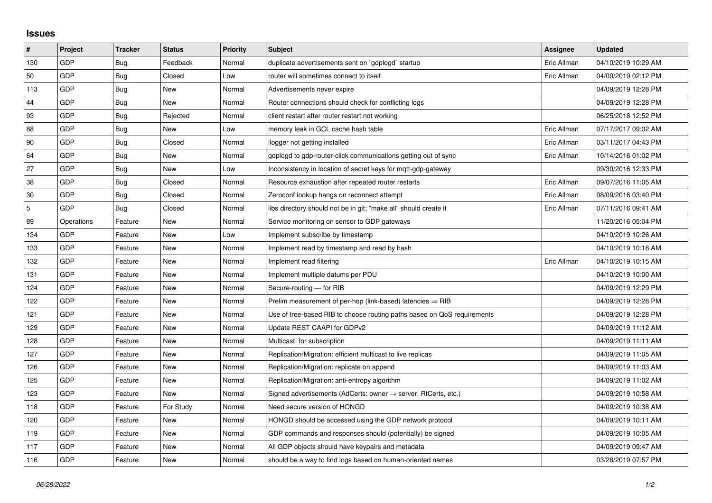## **Issues**

| #   | Project    | <b>Tracker</b> | <b>Status</b> | <b>Priority</b> | <b>Subject</b>                                                             | Assignee    | <b>Updated</b>      |
|-----|------------|----------------|---------------|-----------------|----------------------------------------------------------------------------|-------------|---------------------|
| 130 | GDP        | Bug            | Feedback      | Normal          | duplicate advertisements sent on `gdplogd` startup                         | Eric Allman | 04/10/2019 10:29 AM |
| 50  | GDP        | Bug            | Closed        | Low             | router will sometimes connect to itself                                    | Eric Allman | 04/09/2019 02:12 PM |
| 113 | GDP        | Bug            | New           | Normal          | Advertisements never expire                                                |             | 04/09/2019 12:28 PM |
| 44  | GDP        | Bug            | <b>New</b>    | Normal          | Router connections should check for conflicting logs                       |             | 04/09/2019 12:28 PM |
| 93  | GDP        | Bug            | Rejected      | Normal          | client restart after router restart not working                            |             | 06/25/2018 12:52 PM |
| 88  | GDP        | <b>Bug</b>     | New           | Low             | memory leak in GCL cache hash table                                        | Eric Allman | 07/17/2017 09:02 AM |
| 90  | GDP        | Bug            | Closed        | Normal          | llogger not getting installed                                              | Eric Allman | 03/11/2017 04:43 PM |
| 64  | GDP        | <b>Bug</b>     | New           | Normal          | gdplogd to gdp-router-click communications getting out of sync             | Eric Allman | 10/14/2016 01:02 PM |
| 27  | GDP        | Bug            | New           | Low             | Inconsistency in location of secret keys for mqtt-gdp-gateway              |             | 09/30/2016 12:33 PM |
| 38  | GDP        | Bug            | Closed        | Normal          | Resource exhaustion after repeated router restarts                         | Eric Allman | 09/07/2016 11:05 AM |
| 30  | GDP        | <b>Bug</b>     | Closed        | Normal          | Zeroconf lookup hangs on reconnect attempt                                 | Eric Allman | 08/09/2016 03:40 PM |
| 5   | GDP        | Bug            | Closed        | Normal          | libs directory should not be in git; "make all" should create it           | Eric Allman | 07/11/2016 09:41 AM |
| 89  | Operations | Feature        | <b>New</b>    | Normal          | Service monitoring on sensor to GDP gateways                               |             | 11/20/2016 05:04 PM |
| 134 | GDP        | Feature        | New           | Low             | Implement subscribe by timestamp                                           |             | 04/10/2019 10:26 AM |
| 133 | GDP        | Feature        | New           | Normal          | Implement read by timestamp and read by hash                               |             | 04/10/2019 10:18 AM |
| 132 | GDP        | Feature        | <b>New</b>    | Normal          | Implement read filtering                                                   | Eric Allman | 04/10/2019 10:15 AM |
| 131 | GDP        | Feature        | New           | Normal          | Implement multiple datums per PDU                                          |             | 04/10/2019 10:00 AM |
| 124 | GDP        | Feature        | New           | Normal          | Secure-routing - for RIB                                                   |             | 04/09/2019 12:29 PM |
| 122 | GDP        | Feature        | <b>New</b>    | Normal          | Prelim measurement of per-hop (link-based) latencies $\Rightarrow$ RIB     |             | 04/09/2019 12:28 PM |
| 121 | GDP        | Feature        | New           | Normal          | Use of tree-based RIB to choose routing paths based on QoS requirements    |             | 04/09/2019 12:28 PM |
| 129 | GDP        | Feature        | New           | Normal          | Update REST CAAPI for GDPv2                                                |             | 04/09/2019 11:12 AM |
| 128 | GDP        | Feature        | New           | Normal          | Multicast: for subscription                                                |             | 04/09/2019 11:11 AM |
| 127 | GDP        | Feature        | New           | Normal          | Replication/Migration: efficient multicast to live replicas                |             | 04/09/2019 11:05 AM |
| 126 | GDP        | Feature        | New           | Normal          | Replication/Migration: replicate on append                                 |             | 04/09/2019 11:03 AM |
| 125 | GDP        | Feature        | New           | Normal          | Replication/Migration: anti-entropy algorithm                              |             | 04/09/2019 11:02 AM |
| 123 | GDP        | Feature        | New           | Normal          | Signed advertisements (AdCerts: owner $\rightarrow$ server, RtCerts, etc.) |             | 04/09/2019 10:58 AM |
| 118 | GDP        | Feature        | For Study     | Normal          | Need secure version of HONGD                                               |             | 04/09/2019 10:38 AM |
| 120 | GDP        | Feature        | New           | Normal          | HONGD should be accessed using the GDP network protocol                    |             | 04/09/2019 10:11 AM |
| 119 | GDP        | Feature        | New           | Normal          | GDP commands and responses should (potentially) be signed                  |             | 04/09/2019 10:05 AM |
| 117 | GDP        | Feature        | New           | Normal          | All GDP objects should have keypairs and metadata                          |             | 04/09/2019 09:47 AM |
| 116 | GDP        | Feature        | New           | Normal          | should be a way to find logs based on human-oriented names                 |             | 03/28/2019 07:57 PM |